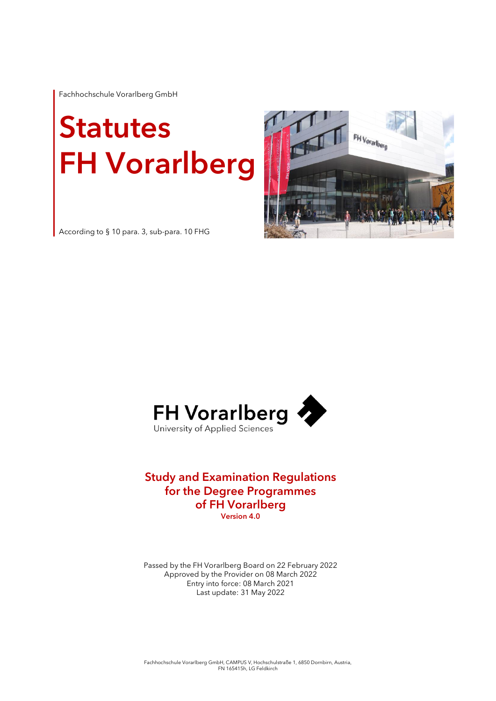Fachhochschule Vorarlberg GmbH

# **Statutes** FH Vorarlberg



According to § 10 para. 3, sub-para. 10 FHG



### Study and Examination Regulations for the Degree Programmes of FH Vorarlberg Version 4.0

Passed by the FH Vorarlberg Board on 22 February 2022 Approved by the Provider on 08 March 2022 Entry into force: 08 March 2021 Last update: 31 May 2022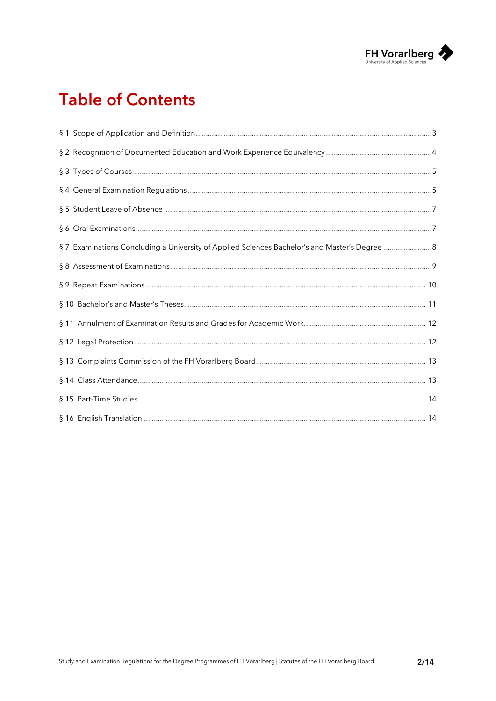

# **Table of Contents**

| § 7 Examinations Concluding a University of Applied Sciences Bachelor's and Master's Degree 8 |  |
|-----------------------------------------------------------------------------------------------|--|
|                                                                                               |  |
|                                                                                               |  |
|                                                                                               |  |
|                                                                                               |  |
|                                                                                               |  |
|                                                                                               |  |
|                                                                                               |  |
|                                                                                               |  |
|                                                                                               |  |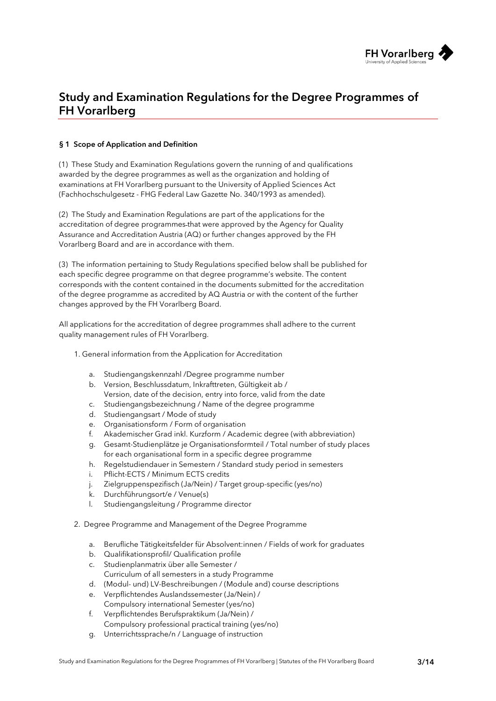

## Study and Examination Regulations for the Degree Programmes of FH Vorarlberg

#### <span id="page-2-0"></span>§ 1 Scope of Application and Definition

(1) These Study and Examination Regulations govern the running of and qualifications awarded by the degree programmes as well as the organization and holding of examinations at FH Vorarlberg pursuant to the University of Applied Sciences Act (Fachhochschulgesetz - FHG Federal Law Gazette No. 340/1993 as amended).

(2) The Study and Examination Regulations are part of the applications for the accreditation of degree programmes that were approved by the Agency for Quality Assurance and Accreditation Austria (AQ) or further changes approved by the FH Vorarlberg Board and are in accordance with them.

(3) The information pertaining to Study Regulations specified below shall be published for each specific degree programme on that degree programme's website. The content corresponds with the content contained in the documents submitted for the accreditation of the degree programme as accredited by AQ Austria or with the content of the further changes approved by the FH Vorarlberg Board.

All applications for the accreditation of degree programmes shall adhere to the current quality management rules of FH Vorarlberg.

- 1. General information from the Application for Accreditation
	- a. Studiengangskennzahl /Degree programme number
	- b. Version, Beschlussdatum, Inkrafttreten, Gültigkeit ab / Version, date of the decision, entry into force, valid from the date
	- c. Studiengangsbezeichnung / Name of the degree programme
	- d. Studiengangsart / Mode of study
	- e. Organisationsform / Form of organisation
	- f. Akademischer Grad inkl. Kurzform / Academic degree (with abbreviation)
	- g. Gesamt-Studienplätze je Organisationsformteil / Total number of study places for each organisational form in a specific degree programme
	- h. Regelstudiendauer in Semestern / Standard study period in semesters
	- i. Pflicht-ECTS / Minimum ECTS credits
	- j. Zielgruppenspezifisch (Ja/Nein) / Target group-specific (yes/no)
	- k. Durchführungsort/e / Venue(s)
	- l. Studiengangsleitung / Programme director
- 2. Degree Programme and Management of the Degree Programme
	- a. Berufliche Tätigkeitsfelder für Absolvent:innen / Fields of work for graduates
	- b. Qualifikationsprofil/ Qualification profile
	- c. Studienplanmatrix über alle Semester / Curriculum of all semesters in a study Programme
	- d. (Modul- und) LV-Beschreibungen / (Module and) course descriptions
	- e. Verpflichtendes Auslandssemester (Ja/Nein) / Compulsory international Semester (yes/no)
	- f. Verpflichtendes Berufspraktikum (Ja/Nein) / Compulsory professional practical training (yes/no)
	- g. Unterrichtssprache/n / Language of instruction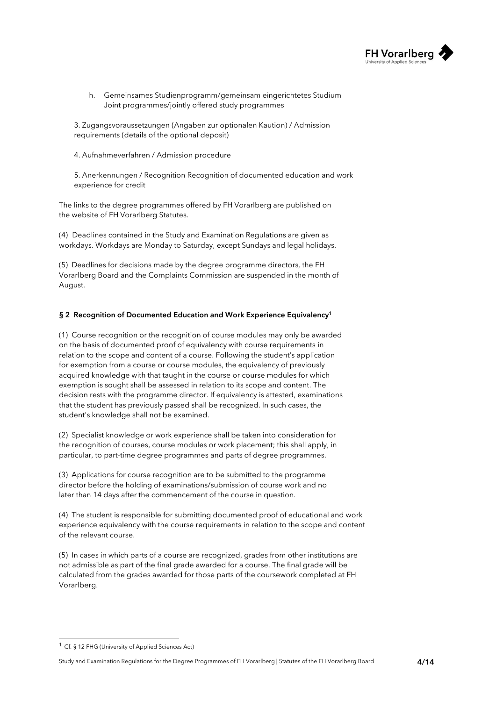

h. Gemeinsames Studienprogramm/gemeinsam eingerichtetes Studium Joint programmes/jointly offered study programmes

3. Zugangsvoraussetzungen (Angaben zur optionalen Kaution) / Admission requirements (details of the optional deposit)

4. Aufnahmeverfahren / Admission procedure

5. Anerkennungen / Recognition Recognition of documented education and work experience for credit

The links to the degree programmes offered by FH Vorarlberg are published on the website of FH Vorarlberg Statutes.

(4) Deadlines contained in the Study and Examination Regulations are given as workdays. Workdays are Monday to Saturday, except Sundays and legal holidays.

(5) Deadlines for decisions made by the degree programme directors, the FH Vorarlberg Board and the Complaints Commission are suspended in the month of August.

#### <span id="page-3-0"></span>§ 2 Recognition of Documented Education and Work Experience Equivalency<sup>1</sup>

(1) Course recognition or the recognition of course modules may only be awarded on the basis of documented proof of equivalency with course requirements in relation to the scope and content of a course. Following the student's application for exemption from a course or course modules, the equivalency of previously acquired knowledge with that taught in the course or course modules for which exemption is sought shall be assessed in relation to its scope and content. The decision rests with the programme director. If equivalency is attested, examinations that the student has previously passed shall be recognized. In such cases, the student's knowledge shall not be examined.

(2) Specialist knowledge or work experience shall be taken into consideration for the recognition of courses, course modules or work placement; this shall apply, in particular, to part-time degree programmes and parts of degree programmes.

(3) Applications for course recognition are to be submitted to the programme director before the holding of examinations/submission of course work and no later than 14 days after the commencement of the course in question.

(4) The student is responsible for submitting documented proof of educational and work experience equivalency with the course requirements in relation to the scope and content of the relevant course.

(5) In cases in which parts of a course are recognized, grades from other institutions are not admissible as part of the final grade awarded for a course. The final grade will be calculated from the grades awarded for those parts of the coursework completed at FH Vorarlberg.

<sup>1</sup> Cf. § 12 FHG (University of Applied Sciences Act)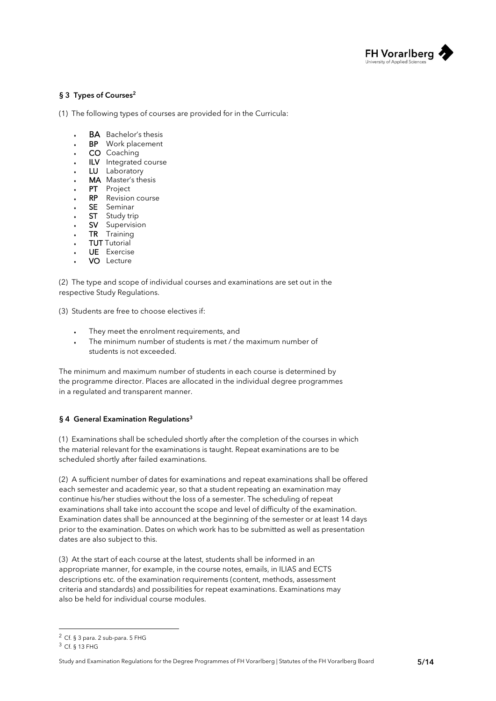

#### <span id="page-4-0"></span>§ 3 Types of Courses<sup>2</sup>

(1) The following types of courses are provided for in the Curricula:

- **BA** Bachelor's thesis
- **BP** Work placement
- $\cdot$  CO Coaching
- ILV Integrated course
- LU Laboratory
- MA Master's thesis
- PT Project
- **RP** Revision course
- SE Seminar
- **ST** Study trip
- SV Supervision
- TR Training
- **TUT** Tutorial
- UE Exercise
- VO Lecture

(2) The type and scope of individual courses and examinations are set out in the respective Study Regulations.

(3) Students are free to choose electives if:

- They meet the enrolment requirements, and
- ® The minimum number of students is met / the maximum number of students is not exceeded.

The minimum and maximum number of students in each course is determined by the programme director. Places are allocated in the individual degree programmes in a regulated and transparent manner.

#### <span id="page-4-1"></span>§ 4 General Examination Regulations<sup>3</sup>

(1) Examinations shall be scheduled shortly after the completion of the courses in which the material relevant for the examinations is taught. Repeat examinations are to be scheduled shortly after failed examinations.

(2) A sufficient number of dates for examinations and repeat examinations shall be offered each semester and academic year, so that a student repeating an examination may continue his/her studies without the loss of a semester. The scheduling of repeat examinations shall take into account the scope and level of difficulty of the examination. Examination dates shall be announced at the beginning of the semester or at least 14 days prior to the examination. Dates on which work has to be submitted as well as presentation dates are also subject to this.

(3) At the start of each course at the latest, students shall be informed in an appropriate manner, for example, in the course notes, emails, in ILIAS and ECTS descriptions etc. of the examination requirements (content, methods, assessment criteria and standards) and possibilities for repeat examinations. Examinations may also be held for individual course modules.

Study and Examination Regulations for the Degree Programmes of FH Vorarlberg | Statutes of the FH Vorarlberg Board 5/14

<sup>2</sup> Cf. § 3 para. 2 sub-para. 5 FHG

<sup>3</sup> Cf. § 13 FHG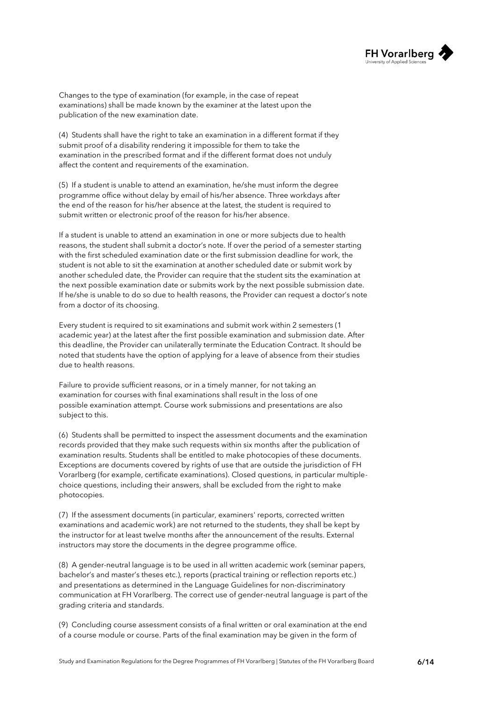

Changes to the type of examination (for example, in the case of repeat examinations) shall be made known by the examiner at the latest upon the publication of the new examination date.

(4) Students shall have the right to take an examination in a different format if they submit proof of a disability rendering it impossible for them to take the examination in the prescribed format and if the different format does not unduly affect the content and requirements of the examination.

(5) If a student is unable to attend an examination, he/she must inform the degree programme office without delay by email of his/her absence. Three workdays after the end of the reason for his/her absence at the latest, the student is required to submit written or electronic proof of the reason for his/her absence.

If a student is unable to attend an examination in one or more subjects due to health reasons, the student shall submit a doctor's note. If over the period of a semester starting with the first scheduled examination date or the first submission deadline for work, the student is not able to sit the examination at another scheduled date or submit work by another scheduled date, the Provider can require that the student sits the examination at the next possible examination date or submits work by the next possible submission date. If he/she is unable to do so due to health reasons, the Provider can request a doctor's note from a doctor of its choosing.

Every student is required to sit examinations and submit work within 2 semesters (1 academic year) at the latest after the first possible examination and submission date. After this deadline, the Provider can unilaterally terminate the Education Contract. It should be noted that students have the option of applying for a leave of absence from their studies due to health reasons.

Failure to provide sufficient reasons, or in a timely manner, for not taking an examination for courses with final examinations shall result in the loss of one possible examination attempt. Course work submissions and presentations are also subject to this.

(6) Students shall be permitted to inspect the assessment documents and the examination records provided that they make such requests within six months after the publication of examination results. Students shall be entitled to make photocopies of these documents. Exceptions are documents covered by rights of use that are outside the jurisdiction of FH Vorarlberg (for example, certificate examinations). Closed questions, in particular multiplechoice questions, including their answers, shall be excluded from the right to make photocopies.

(7) If the assessment documents (in particular, examiners' reports, corrected written examinations and academic work) are not returned to the students, they shall be kept by the instructor for at least twelve months after the announcement of the results. External instructors may store the documents in the degree programme office.

(8) A gender-neutral language is to be used in all written academic work (seminar papers, bachelor's and master's theses etc.), reports (practical training or reflection reports etc.) and presentations as determined in the Language Guidelines for non-discriminatory communication at FH Vorarlberg. The correct use of gender-neutral language is part of the grading criteria and standards.

(9) Concluding course assessment consists of a final written or oral examination at the end of a course module or course. Parts of the final examination may be given in the form of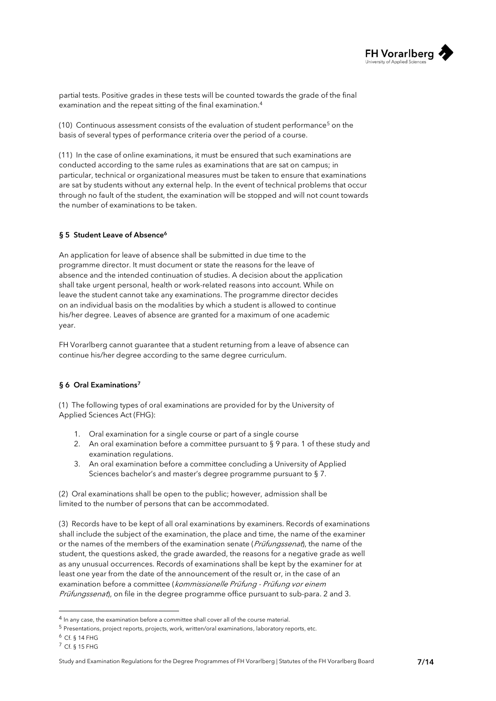

partial tests. Positive grades in these tests will be counted towards the grade of the final examination and the repeat sitting of the final examination.<sup>4</sup>

(10) Continuous assessment consists of the evaluation of student performance<sup>5</sup> on the basis of several types of performance criteria over the period of a course.

(11) In the case of online examinations, it must be ensured that such examinations are conducted according to the same rules as examinations that are sat on campus; in particular, technical or organizational measures must be taken to ensure that examinations are sat by students without any external help. In the event of technical problems that occur through no fault of the student, the examination will be stopped and will not count towards the number of examinations to be taken.

#### <span id="page-6-0"></span>§ 5 Student Leave of Absence<sup>6</sup>

An application for leave of absence shall be submitted in due time to the programme director. It must document or state the reasons for the leave of absence and the intended continuation of studies. A decision about the application shall take urgent personal, health or work-related reasons into account. While on leave the student cannot take any examinations. The programme director decides on an individual basis on the modalities by which a student is allowed to continue his/her degree. Leaves of absence are granted for a maximum of one academic year.

FH Vorarlberg cannot guarantee that a student returning from a leave of absence can continue his/her degree according to the same degree curriculum.

#### <span id="page-6-1"></span>§ 6 Oral Examinations<sup>7</sup>

(1) The following types of oral examinations are provided for by the University of Applied Sciences Act (FHG):

- 1. Oral examination for a single course or part of a single course
- 2. An oral examination before a committee pursuant to § 9 para. 1 of these study and examination regulations.
- 3. An oral examination before a committee concluding a University of Applied Sciences bachelor's and master's degree programme pursuant to § 7.

(2) Oral examinations shall be open to the public; however, admission shall be limited to the number of persons that can be accommodated.

(3) Records have to be kept of all oral examinations by examiners. Records of examinations shall include the subject of the examination, the place and time, the name of the examiner or the names of the members of the examination senate (*Prüfungssenat*), the name of the student, the questions asked, the grade awarded, the reasons for a negative grade as well as any unusual occurrences. Records of examinations shall be kept by the examiner for at least one year from the date of the announcement of the result or, in the case of an examination before a committee (kommissionelle Prüfung - Prüfung vor einem Prüfungssenat), on file in the degree programme office pursuant to sub-para. 2 and 3.

<sup>4</sup> In any case, the examination before a committee shall cover all of the course material.

<sup>5</sup> Presentations, project reports, projects, work, written/oral examinations, laboratory reports, etc.

<sup>6</sup> Cf. § 14 FHG

<sup>7</sup> Cf. § 15 FHG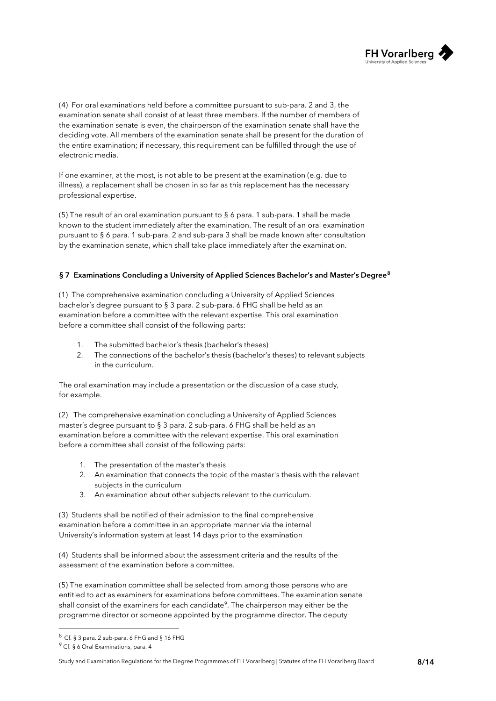

(4) For oral examinations held before a committee pursuant to sub-para. 2 and 3, the examination senate shall consist of at least three members. If the number of members of the examination senate is even, the chairperson of the examination senate shall have the deciding vote. All members of the examination senate shall be present for the duration of the entire examination; if necessary, this requirement can be fulfilled through the use of electronic media.

If one examiner, at the most, is not able to be present at the examination (e.g. due to illness), a replacement shall be chosen in so far as this replacement has the necessary professional expertise.

(5) The result of an oral examination pursuant to  $\S$  6 para. 1 sub-para. 1 shall be made known to the student immediately after the examination. The result of an oral examination pursuant to § 6 para. 1 sub-para. 2 and sub-para 3 shall be made known after consultation by the examination senate, which shall take place immediately after the examination.

#### <span id="page-7-0"></span>§ 7 Examinations Concluding a University of Applied Sciences Bachelor's and Master's Degree<sup>8</sup>

(1) The comprehensive examination concluding a University of Applied Sciences bachelor's degree pursuant to § 3 para. 2 sub-para. 6 FHG shall be held as an examination before a committee with the relevant expertise. This oral examination before a committee shall consist of the following parts:

- 1. The submitted bachelor's thesis (bachelor's theses)
- 2. The connections of the bachelor's thesis (bachelor's theses) to relevant subjects in the curriculum.

The oral examination may include a presentation or the discussion of a case study, for example.

(2) The comprehensive examination concluding a University of Applied Sciences master's degree pursuant to § 3 para. 2 sub-para. 6 FHG shall be held as an examination before a committee with the relevant expertise. This oral examination before a committee shall consist of the following parts:

- 1. The presentation of the master's thesis
- 2. An examination that connects the topic of the master's thesis with the relevant subjects in the curriculum
- 3. An examination about other subjects relevant to the curriculum.

(3) Students shall be notified of their admission to the final comprehensive examination before a committee in an appropriate manner via the internal University's information system at least 14 days prior to the examination

(4) Students shall be informed about the assessment criteria and the results of the assessment of the examination before a committee.

(5) The examination committee shall be selected from among those persons who are entitled to act as examiners for examinations before committees. The examination senate shall consist of the examiners for each candidate<sup>9</sup>. The chairperson may either be the programme director or someone appointed by the programme director. The deputy

Study and Examination Regulations for the Degree Programmes of FH Vorarlberg | Statutes of the FH Vorarlberg Board 8/14

 $8$  Cf. § 3 para. 2 sub-para. 6 FHG and § 16 FHG

<sup>&</sup>lt;sup>9</sup> Cf. § 6 Oral Examinations, para. 4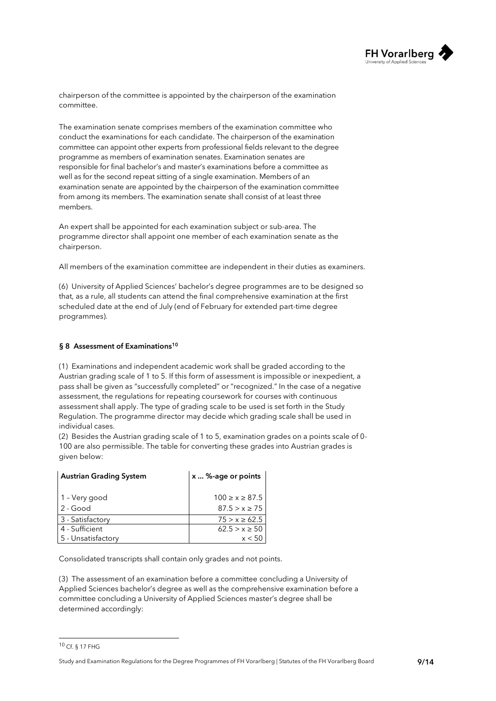

chairperson of the committee is appointed by the chairperson of the examination committee.

The examination senate comprises members of the examination committee who conduct the examinations for each candidate. The chairperson of the examination committee can appoint other experts from professional fields relevant to the degree programme as members of examination senates. Examination senates are responsible for final bachelor's and master's examinations before a committee as well as for the second repeat sitting of a single examination. Members of an examination senate are appointed by the chairperson of the examination committee from among its members. The examination senate shall consist of at least three members.

An expert shall be appointed for each examination subject or sub-area. The programme director shall appoint one member of each examination senate as the chairperson.

All members of the examination committee are independent in their duties as examiners.

(6) University of Applied Sciences' bachelor's degree programmes are to be designed so that, as a rule, all students can attend the final comprehensive examination at the first scheduled date at the end of July (end of February for extended part-time degree programmes).

#### <span id="page-8-0"></span>§ 8 Assessment of Examinations<sup>10</sup>

(1) Examinations and independent academic work shall be graded according to the Austrian grading scale of 1 to 5. If this form of assessment is impossible or inexpedient, a pass shall be given as "successfully completed" or "recognized." In the case of a negative assessment, the regulations for repeating coursework for courses with continuous assessment shall apply. The type of grading scale to be used is set forth in the Study Regulation. The programme director may decide which grading scale shall be used in individual cases.

(2) Besides the Austrian grading scale of 1 to 5, examination grades on a points scale of 0- 100 are also permissible. The table for converting these grades into Austrian grades is given below:

| <b>Austrian Grading System</b> | x  %-age or points   |
|--------------------------------|----------------------|
| 1 - Very good                  | $100 \ge x \ge 87.5$ |
| $2 - Good$                     | $87.5 > x \geq 75$   |
| 3 - Satisfactory               | $75 > x \ge 62.5$    |
| 4 - Sufficient                 | $62.5 > x \ge 50$    |
| 5 - Unsatisfactory             | x < 5                |

Consolidated transcripts shall contain only grades and not points.

(3) The assessment of an examination before a committee concluding a University of Applied Sciences bachelor's degree as well as the comprehensive examination before a committee concluding a University of Applied Sciences master's degree shall be determined accordingly:

Study and Examination Regulations for the Degree Programmes of FH Vorarlberg | Statutes of the FH Vorarlberg Board 9/14

<sup>10</sup> Cf. § 17 FHG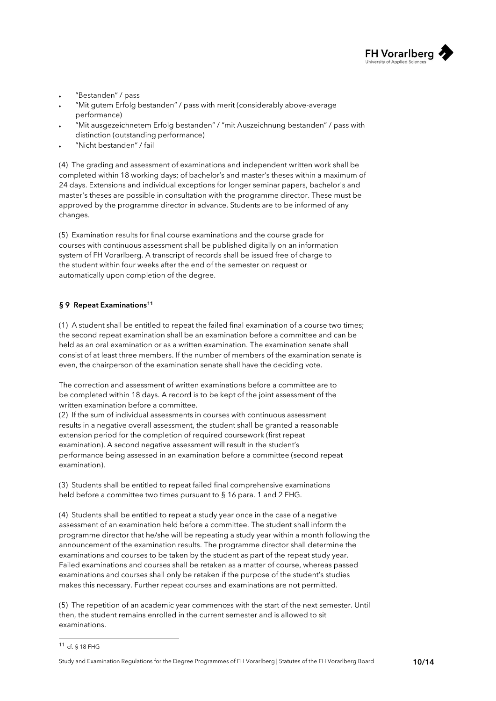

- "Bestanden" / pass
- "Mit gutem Erfolg bestanden" / pass with merit (considerably above-average performance)
- "Mit ausgezeichnetem Erfolg bestanden" / "mit Auszeichnung bestanden" / pass with distinction (outstanding performance)
- ® "Nicht bestanden" / fail

(4) The grading and assessment of examinations and independent written work shall be completed within 18 working days; of bachelor's and master's theses within a maximum of 24 days. Extensions and individual exceptions for longer seminar papers, bachelor's and master's theses are possible in consultation with the programme director. These must be approved by the programme director in advance. Students are to be informed of any changes.

(5) Examination results for final course examinations and the course grade for courses with continuous assessment shall be published digitally on an information system of FH Vorarlberg. A transcript of records shall be issued free of charge to the student within four weeks after the end of the semester on request or automatically upon completion of the degree.

#### <span id="page-9-0"></span>§ 9 Repeat Examinations<sup>11</sup>

(1) A student shall be entitled to repeat the failed final examination of a course two times; the second repeat examination shall be an examination before a committee and can be held as an oral examination or as a written examination. The examination senate shall consist of at least three members. If the number of members of the examination senate is even, the chairperson of the examination senate shall have the deciding vote.

The correction and assessment of written examinations before a committee are to be completed within 18 days. A record is to be kept of the joint assessment of the written examination before a committee.

(2) If the sum of individual assessments in courses with continuous assessment results in a negative overall assessment, the student shall be granted a reasonable extension period for the completion of required coursework (first repeat examination). A second negative assessment will result in the student's performance being assessed in an examination before a committee (second repeat examination).

(3) Students shall be entitled to repeat failed final comprehensive examinations held before a committee two times pursuant to § 16 para. 1 and 2 FHG.

(4) Students shall be entitled to repeat a study year once in the case of a negative assessment of an examination held before a committee. The student shall inform the programme director that he/she will be repeating a study year within a month following the announcement of the examination results. The programme director shall determine the examinations and courses to be taken by the student as part of the repeat study year. Failed examinations and courses shall be retaken as a matter of course, whereas passed examinations and courses shall only be retaken if the purpose of the student's studies makes this necessary. Further repeat courses and examinations are not permitted.

(5) The repetition of an academic year commences with the start of the next semester. Until then, the student remains enrolled in the current semester and is allowed to sit examinations.

<sup>11</sup> cf. § 18 FHG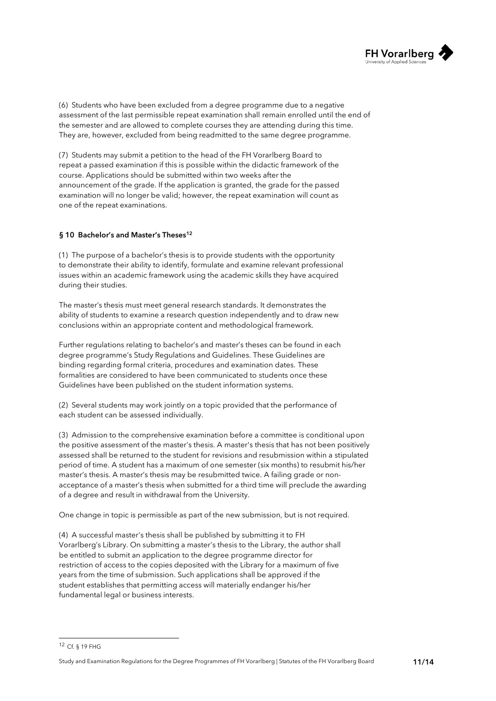

(6) Students who have been excluded from a degree programme due to a negative assessment of the last permissible repeat examination shall remain enrolled until the end of the semester and are allowed to complete courses they are attending during this time. They are, however, excluded from being readmitted to the same degree programme.

(7) Students may submit a petition to the head of the FH Vorarlberg Board to repeat a passed examination if this is possible within the didactic framework of the course. Applications should be submitted within two weeks after the announcement of the grade. If the application is granted, the grade for the passed examination will no longer be valid; however, the repeat examination will count as one of the repeat examinations.

#### <span id="page-10-0"></span>§ 10 Bachelor's and Master's Theses<sup>12</sup>

(1) The purpose of a bachelor's thesis is to provide students with the opportunity to demonstrate their ability to identify, formulate and examine relevant professional issues within an academic framework using the academic skills they have acquired during their studies.

The master's thesis must meet general research standards. It demonstrates the ability of students to examine a research question independently and to draw new conclusions within an appropriate content and methodological framework.

Further regulations relating to bachelor's and master's theses can be found in each degree programme's Study Regulations and Guidelines. These Guidelines are binding regarding formal criteria, procedures and examination dates. These formalities are considered to have been communicated to students once these Guidelines have been published on the student information systems.

(2) Several students may work jointly on a topic provided that the performance of each student can be assessed individually.

(3) Admission to the comprehensive examination before a committee is conditional upon the positive assessment of the master's thesis. A master's thesis that has not been positively assessed shall be returned to the student for revisions and resubmission within a stipulated period of time. A student has a maximum of one semester (six months) to resubmit his/her master's thesis. A master's thesis may be resubmitted twice. A failing grade or nonacceptance of a master's thesis when submitted for a third time will preclude the awarding of a degree and result in withdrawal from the University.

One change in topic is permissible as part of the new submission, but is not required.

(4) A successful master's thesis shall be published by submitting it to FH Vorarlberg's Library. On submitting a master's thesis to the Library, the author shall be entitled to submit an application to the degree programme director for restriction of access to the copies deposited with the Library for a maximum of five years from the time of submission. Such applications shall be approved if the student establishes that permitting access will materially endanger his/her fundamental legal or business interests.

Study and Examination Regulations for the Degree Programmes of FH Vorarlberg | Statutes of the FH Vorarlberg Board 11/14

<sup>12</sup> Cf. § 19 FHG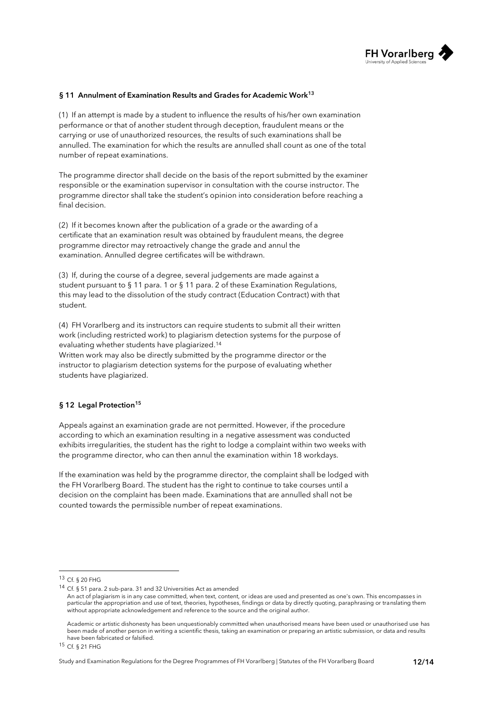

#### <span id="page-11-0"></span>§ 11 Annulment of Examination Results and Grades for Academic Work<sup>13</sup>

(1) If an attempt is made by a student to influence the results of his/her own examination performance or that of another student through deception, fraudulent means or the carrying or use of unauthorized resources, the results of such examinations shall be annulled. The examination for which the results are annulled shall count as one of the total number of repeat examinations.

The programme director shall decide on the basis of the report submitted by the examiner responsible or the examination supervisor in consultation with the course instructor. The programme director shall take the student's opinion into consideration before reaching a final decision.

(2) If it becomes known after the publication of a grade or the awarding of a certificate that an examination result was obtained by fraudulent means, the degree programme director may retroactively change the grade and annul the examination. Annulled degree certificates will be withdrawn.

(3) If, during the course of a degree, several judgements are made against a student pursuant to § 11 para. 1 or § 11 para. 2 of these Examination Regulations, this may lead to the dissolution of the study contract (Education Contract) with that student.

(4) FH Vorarlberg and its instructors can require students to submit all their written work (including restricted work) to plagiarism detection systems for the purpose of evaluating whether students have plagiarized.<sup>14</sup>

Written work may also be directly submitted by the programme director or the instructor to plagiarism detection systems for the purpose of evaluating whether students have plagiarized.

#### <span id="page-11-1"></span>§ 12 Legal Protection<sup>15</sup>

Appeals against an examination grade are not permitted. However, if the procedure according to which an examination resulting in a negative assessment was conducted exhibits irregularities, the student has the right to lodge a complaint within two weeks with the programme director, who can then annul the examination within 18 workdays.

If the examination was held by the programme director, the complaint shall be lodged with the FH Vorarlberg Board. The student has the right to continue to take courses until a decision on the complaint has been made. Examinations that are annulled shall not be counted towards the permissible number of repeat examinations.

<sup>13</sup> Cf. § 20 FHG

<sup>14</sup> Cf. § 51 para. 2 sub-para. 31 and 32 Universities Act as amended

An act of plagiarism is in any case committed, when text, content, or ideas are used and presented as one's own. This encompasses in particular the appropriation and use of text, theories, hypotheses, findings or data by directly quoting, paraphrasing or translating them without appropriate acknowledgement and reference to the source and the original author.

Academic or artistic dishonesty has been unquestionably committed when unauthorised means have been used or unauthorised use has been made of another person in writing a scientific thesis, taking an examination or preparing an artistic submission, or data and results have been fabricated or falsified.

<sup>15</sup> Cf. § 21 FHG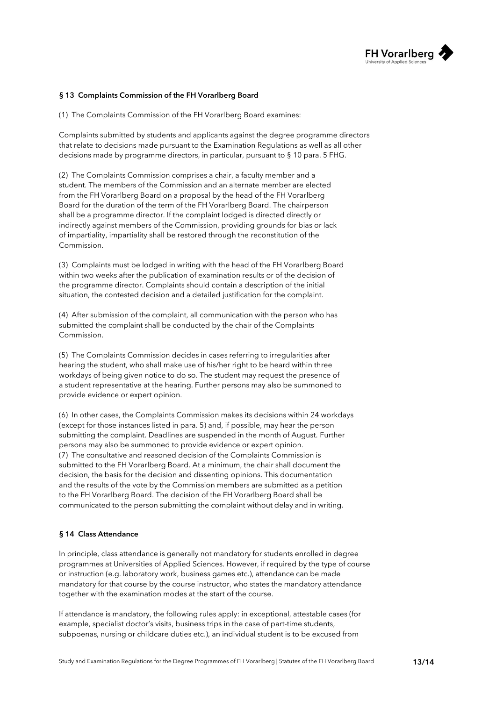

#### <span id="page-12-0"></span>§ 13 Complaints Commission of the FH Vorarlberg Board

(1) The Complaints Commission of the FH Vorarlberg Board examines:

Complaints submitted by students and applicants against the degree programme directors that relate to decisions made pursuant to the Examination Regulations as well as all other decisions made by programme directors, in particular, pursuant to § 10 para. 5 FHG.

(2) The Complaints Commission comprises a chair, a faculty member and a student. The members of the Commission and an alternate member are elected from the FH Vorarlberg Board on a proposal by the head of the FH Vorarlberg Board for the duration of the term of the FH Vorarlberg Board. The chairperson shall be a programme director. If the complaint lodged is directed directly or indirectly against members of the Commission, providing grounds for bias or lack of impartiality, impartiality shall be restored through the reconstitution of the Commission.

(3) Complaints must be lodged in writing with the head of the FH Vorarlberg Board within two weeks after the publication of examination results or of the decision of the programme director. Complaints should contain a description of the initial situation, the contested decision and a detailed justification for the complaint.

(4) After submission of the complaint, all communication with the person who has submitted the complaint shall be conducted by the chair of the Complaints Commission.

(5) The Complaints Commission decides in cases referring to irregularities after hearing the student, who shall make use of his/her right to be heard within three workdays of being given notice to do so. The student may request the presence of a student representative at the hearing. Further persons may also be summoned to provide evidence or expert opinion.

(6) In other cases, the Complaints Commission makes its decisions within 24 workdays (except for those instances listed in para. 5) and, if possible, may hear the person submitting the complaint. Deadlines are suspended in the month of August. Further persons may also be summoned to provide evidence or expert opinion. (7) The consultative and reasoned decision of the Complaints Commission is submitted to the FH Vorarlberg Board. At a minimum, the chair shall document the decision, the basis for the decision and dissenting opinions. This documentation and the results of the vote by the Commission members are submitted as a petition to the FH Vorarlberg Board. The decision of the FH Vorarlberg Board shall be communicated to the person submitting the complaint without delay and in writing.

#### <span id="page-12-1"></span>§ 14 Class Attendance

In principle, class attendance is generally not mandatory for students enrolled in degree programmes at Universities of Applied Sciences. However, if required by the type of course or instruction (e.g. laboratory work, business games etc.), attendance can be made mandatory for that course by the course instructor, who states the mandatory attendance together with the examination modes at the start of the course.

If attendance is mandatory, the following rules apply: in exceptional, attestable cases (for example, specialist doctor's visits, business trips in the case of part-time students, subpoenas, nursing or childcare duties etc.), an individual student is to be excused from